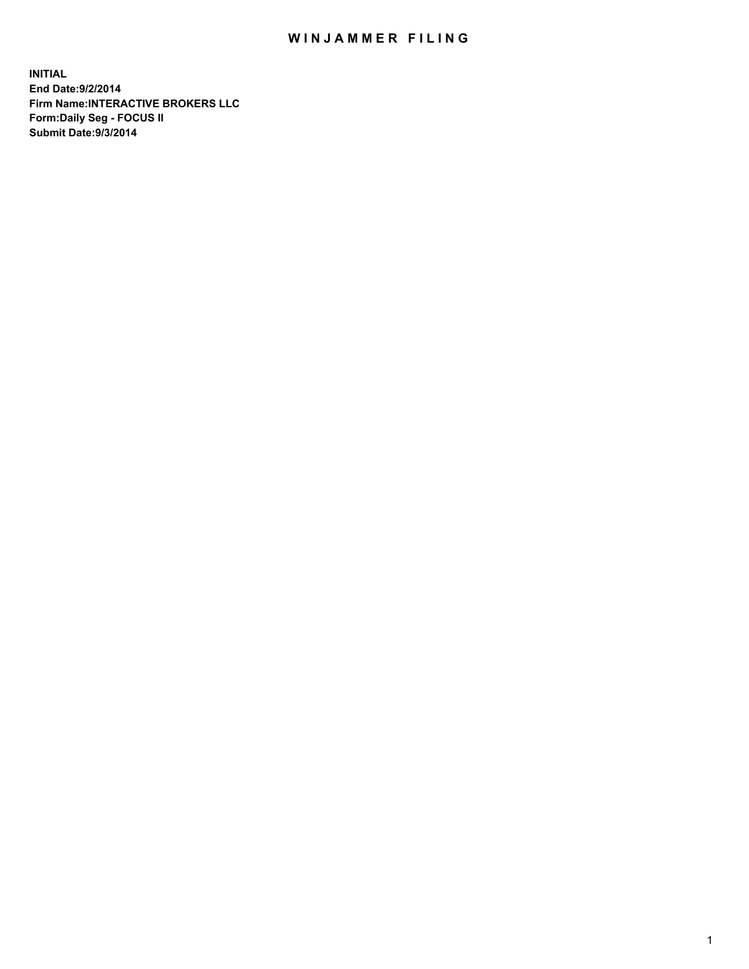## WIN JAMMER FILING

**INITIAL End Date:9/2/2014 Firm Name:INTERACTIVE BROKERS LLC Form:Daily Seg - FOCUS II Submit Date:9/3/2014**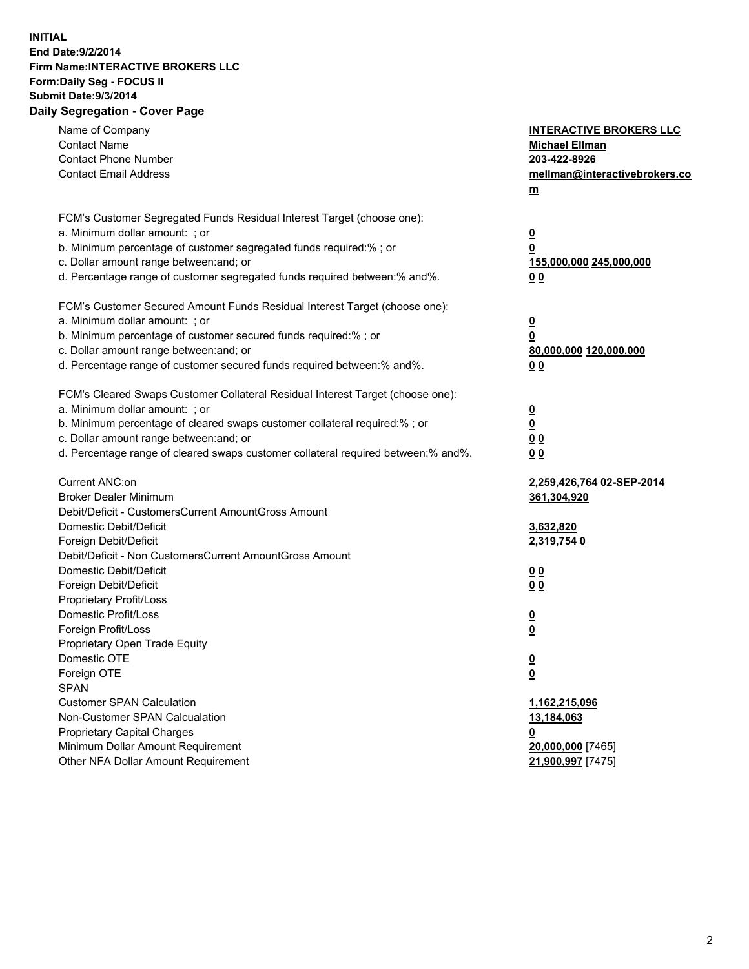## **INITIAL End Date:9/2/2014 Firm Name:INTERACTIVE BROKERS LLC Form:Daily Seg - FOCUS II Submit Date:9/3/2014 Daily Segregation - Cover Page**

| Name of Company                                                                   | <b>INTERACTIVE BROKERS LLC</b> |
|-----------------------------------------------------------------------------------|--------------------------------|
| <b>Contact Name</b>                                                               | <b>Michael Ellman</b>          |
| <b>Contact Phone Number</b>                                                       | 203-422-8926                   |
| <b>Contact Email Address</b>                                                      | mellman@interactivebrokers.co  |
|                                                                                   | $\underline{\mathbf{m}}$       |
| FCM's Customer Segregated Funds Residual Interest Target (choose one):            |                                |
| a. Minimum dollar amount: ; or                                                    | $\overline{\mathbf{0}}$        |
| b. Minimum percentage of customer segregated funds required:% ; or                | 0                              |
| c. Dollar amount range between: and; or                                           | 155,000,000 245,000,000        |
| d. Percentage range of customer segregated funds required between:% and%.         | 00                             |
| FCM's Customer Secured Amount Funds Residual Interest Target (choose one):        |                                |
| a. Minimum dollar amount: ; or                                                    | $\overline{\mathbf{0}}$        |
| b. Minimum percentage of customer secured funds required:% ; or                   | 0                              |
| c. Dollar amount range between: and; or                                           | 80,000,000 120,000,000         |
| d. Percentage range of customer secured funds required between:% and%.            | 00                             |
| FCM's Cleared Swaps Customer Collateral Residual Interest Target (choose one):    |                                |
| a. Minimum dollar amount: ; or                                                    | $\overline{\mathbf{0}}$        |
| b. Minimum percentage of cleared swaps customer collateral required:% ; or        | $\underline{\mathbf{0}}$       |
| c. Dollar amount range between: and; or                                           | 0 <sub>0</sub>                 |
| d. Percentage range of cleared swaps customer collateral required between:% and%. | 0 <sub>0</sub>                 |
|                                                                                   |                                |
| Current ANC:on                                                                    | 2,259,426,764 02-SEP-2014      |
| <b>Broker Dealer Minimum</b>                                                      | 361,304,920                    |
| Debit/Deficit - CustomersCurrent AmountGross Amount                               |                                |
| Domestic Debit/Deficit                                                            | 3,632,820                      |
| Foreign Debit/Deficit                                                             | 2,319,754 0                    |
| Debit/Deficit - Non CustomersCurrent AmountGross Amount                           |                                |
| Domestic Debit/Deficit                                                            | 0 <sub>0</sub>                 |
| Foreign Debit/Deficit                                                             | 0 <sub>0</sub>                 |
| Proprietary Profit/Loss                                                           |                                |
| Domestic Profit/Loss                                                              | $\overline{\mathbf{0}}$        |
| Foreign Profit/Loss                                                               | $\underline{\mathbf{0}}$       |
| Proprietary Open Trade Equity                                                     |                                |
| Domestic OTE                                                                      | <u>0</u>                       |
| Foreign OTE                                                                       | <u>0</u>                       |
| <b>SPAN</b>                                                                       |                                |
| <b>Customer SPAN Calculation</b>                                                  | 1,162,215,096                  |
| Non-Customer SPAN Calcualation                                                    | 13,184,063                     |
| Proprietary Capital Charges                                                       | <u>0</u>                       |
| Minimum Dollar Amount Requirement                                                 | 20,000,000 [7465]              |
| Other NFA Dollar Amount Requirement                                               | 21,900,997 [7475]              |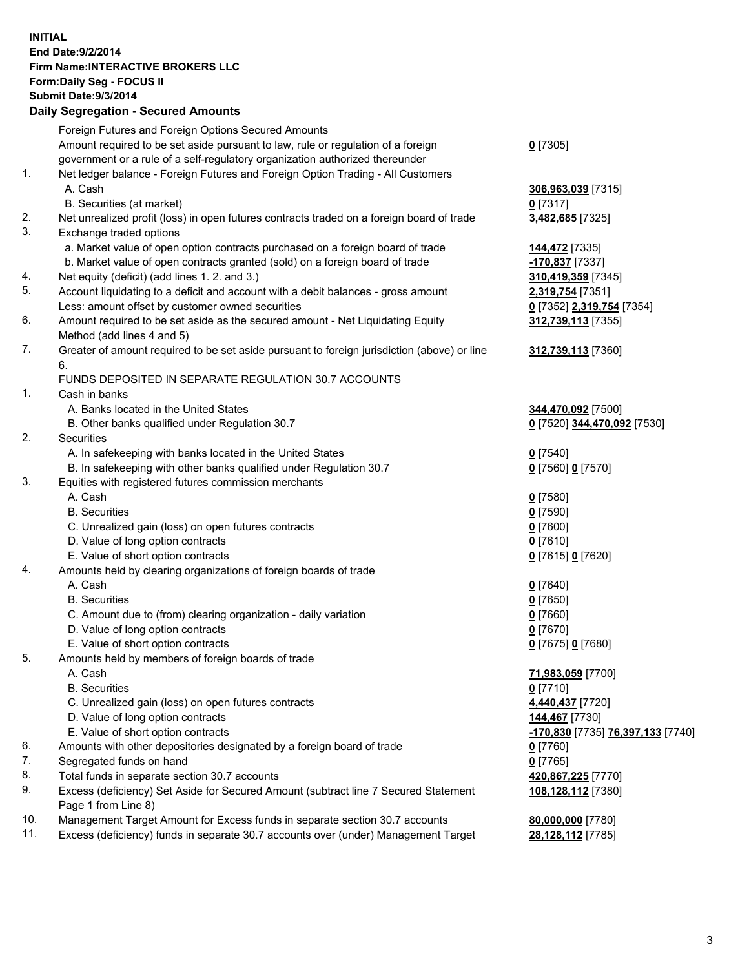## **INITIAL End Date:9/2/2014 Firm Name:INTERACTIVE BROKERS LLC Form:Daily Seg - FOCUS II Submit Date:9/3/2014 Daily Segregation - Secured Amounts**

|     | Foreign Futures and Foreign Options Secured Amounts                                                        |                                   |
|-----|------------------------------------------------------------------------------------------------------------|-----------------------------------|
|     | Amount required to be set aside pursuant to law, rule or regulation of a foreign                           | $0$ [7305]                        |
|     | government or a rule of a self-regulatory organization authorized thereunder                               |                                   |
| 1.  | Net ledger balance - Foreign Futures and Foreign Option Trading - All Customers                            |                                   |
|     | A. Cash                                                                                                    | 306,963,039 [7315]                |
|     | B. Securities (at market)                                                                                  | $0$ [7317]                        |
| 2.  | Net unrealized profit (loss) in open futures contracts traded on a foreign board of trade                  | 3,482,685 [7325]                  |
| 3.  | Exchange traded options                                                                                    |                                   |
|     | a. Market value of open option contracts purchased on a foreign board of trade                             | 144,472 [7335]                    |
|     | b. Market value of open contracts granted (sold) on a foreign board of trade                               | -170,837 [7337]                   |
| 4.  | Net equity (deficit) (add lines 1.2. and 3.)                                                               | 310,419,359 [7345]                |
| 5.  | Account liquidating to a deficit and account with a debit balances - gross amount                          | 2,319,754 [7351]                  |
|     | Less: amount offset by customer owned securities                                                           | 0 [7352] 2,319,754 [7354]         |
| 6.  | Amount required to be set aside as the secured amount - Net Liquidating Equity                             | 312,739,113 [7355]                |
|     | Method (add lines 4 and 5)                                                                                 |                                   |
| 7.  | Greater of amount required to be set aside pursuant to foreign jurisdiction (above) or line                | 312,739,113 [7360]                |
|     | 6.                                                                                                         |                                   |
|     | FUNDS DEPOSITED IN SEPARATE REGULATION 30.7 ACCOUNTS                                                       |                                   |
| 1.  | Cash in banks                                                                                              |                                   |
|     | A. Banks located in the United States                                                                      | 344,470,092 [7500]                |
|     | B. Other banks qualified under Regulation 30.7                                                             | 0 [7520] 344,470,092 [7530]       |
| 2.  | Securities                                                                                                 |                                   |
|     | A. In safekeeping with banks located in the United States                                                  | $0$ [7540]                        |
|     | B. In safekeeping with other banks qualified under Regulation 30.7                                         | 0 [7560] 0 [7570]                 |
| 3.  | Equities with registered futures commission merchants                                                      |                                   |
|     | A. Cash                                                                                                    | $0$ [7580]                        |
|     | <b>B.</b> Securities                                                                                       | $0$ [7590]                        |
|     | C. Unrealized gain (loss) on open futures contracts                                                        | $0$ [7600]                        |
|     | D. Value of long option contracts                                                                          | $0$ [7610]                        |
|     | E. Value of short option contracts                                                                         | 0 [7615] 0 [7620]                 |
| 4.  | Amounts held by clearing organizations of foreign boards of trade                                          |                                   |
|     | A. Cash                                                                                                    | $0$ [7640]                        |
|     | <b>B.</b> Securities                                                                                       | $0$ [7650]                        |
|     | C. Amount due to (from) clearing organization - daily variation                                            | $0$ [7660]                        |
|     | D. Value of long option contracts                                                                          | $0$ [7670]                        |
|     | E. Value of short option contracts                                                                         | 0 [7675] 0 [7680]                 |
| 5.  | Amounts held by members of foreign boards of trade                                                         |                                   |
|     | A. Cash                                                                                                    | 71,983,059 [7700]                 |
|     | <b>B.</b> Securities                                                                                       | $0$ [7710]                        |
|     | C. Unrealized gain (loss) on open futures contracts                                                        | 4,440,437 [7720]                  |
|     | D. Value of long option contracts                                                                          | 144,467 [7730]                    |
|     | E. Value of short option contracts                                                                         | -170,830 [7735] 76,397,133 [7740] |
| 6.  | Amounts with other depositories designated by a foreign board of trade                                     | $0$ [7760]                        |
| 7.  | Segregated funds on hand                                                                                   | $0$ [7765]                        |
| 8.  | Total funds in separate section 30.7 accounts                                                              | 420,867,225 [7770]                |
| 9.  | Excess (deficiency) Set Aside for Secured Amount (subtract line 7 Secured Statement<br>Page 1 from Line 8) | 108,128,112 [7380]                |
| 10. | Management Target Amount for Excess funds in separate section 30.7 accounts                                | 80,000,000 [7780]                 |
| 11. | Excess (deficiency) funds in separate 30.7 accounts over (under) Management Target                         | 28,128,112 [7785]                 |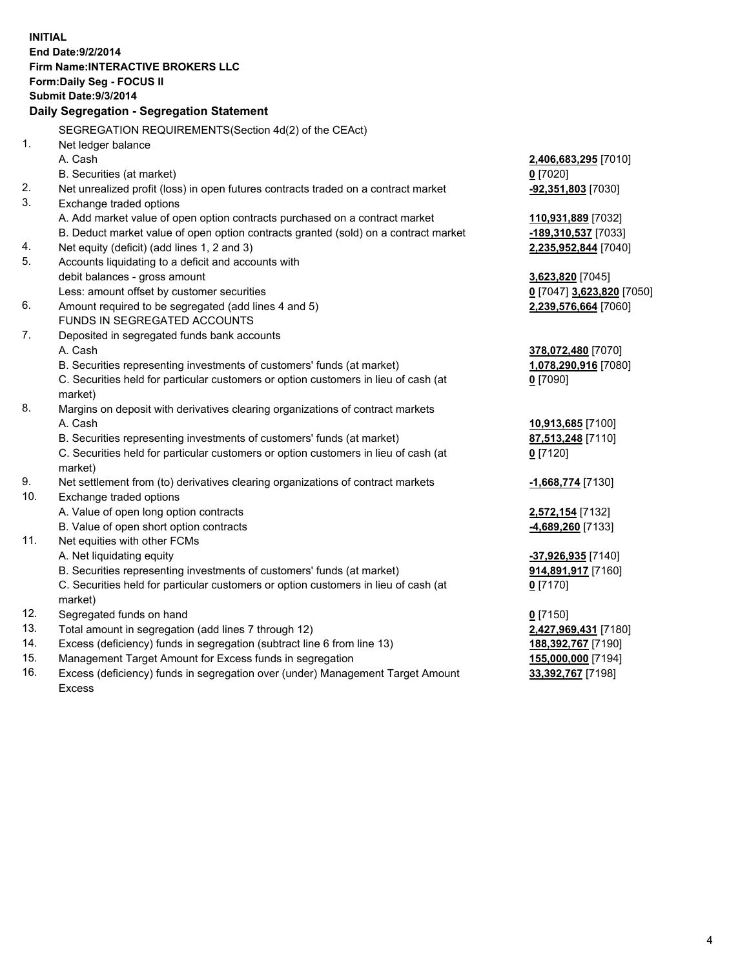**INITIAL End Date:9/2/2014 Firm Name:INTERACTIVE BROKERS LLC Form:Daily Seg - FOCUS II Submit Date:9/3/2014 Daily Segregation - Segregation Statement** SEGREGATION REQUIREMENTS(Section 4d(2) of the CEAct) 1. Net ledger balance A. Cash **2,406,683,295** [7010] B. Securities (at market) **0** [7020] 2. Net unrealized profit (loss) in open futures contracts traded on a contract market **-92,351,803** [7030] 3. Exchange traded options A. Add market value of open option contracts purchased on a contract market **110,931,889** [7032] B. Deduct market value of open option contracts granted (sold) on a contract market **-189,310,537** [7033] 4. Net equity (deficit) (add lines 1, 2 and 3) **2,235,952,844** [7040] 5. Accounts liquidating to a deficit and accounts with debit balances - gross amount **3,623,820** [7045] Less: amount offset by customer securities **0** [7047] **3,623,820** [7050] 6. Amount required to be segregated (add lines 4 and 5) **2,239,576,664** [7060] FUNDS IN SEGREGATED ACCOUNTS 7. Deposited in segregated funds bank accounts A. Cash **378,072,480** [7070] B. Securities representing investments of customers' funds (at market) **1,078,290,916** [7080] C. Securities held for particular customers or option customers in lieu of cash (at market) **0** [7090] 8. Margins on deposit with derivatives clearing organizations of contract markets A. Cash **10,913,685** [7100] B. Securities representing investments of customers' funds (at market) **87,513,248** [7110] C. Securities held for particular customers or option customers in lieu of cash (at market) **0** [7120] 9. Net settlement from (to) derivatives clearing organizations of contract markets **-1,668,774** [7130] 10. Exchange traded options A. Value of open long option contracts **2,572,154** [7132] B. Value of open short option contracts **-4,689,260** [7133] 11. Net equities with other FCMs A. Net liquidating equity **-37,926,935** [7140] B. Securities representing investments of customers' funds (at market) **914,891,917** [7160] C. Securities held for particular customers or option customers in lieu of cash (at market) **0** [7170] 12. Segregated funds on hand **0** [7150] 13. Total amount in segregation (add lines 7 through 12) **2,427,969,431** [7180] 14. Excess (deficiency) funds in segregation (subtract line 6 from line 13) **188,392,767** [7190] 15. Management Target Amount for Excess funds in segregation **155,000,000** [7194]

16. Excess (deficiency) funds in segregation over (under) Management Target Amount Excess

**33,392,767** [7198]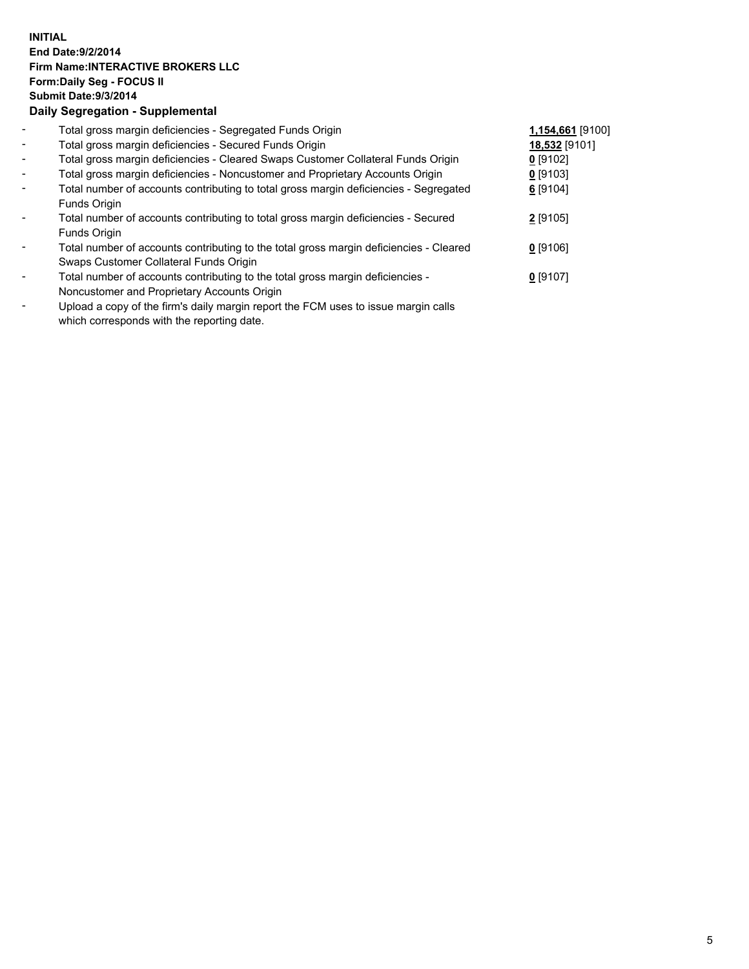## **INITIAL End Date:9/2/2014 Firm Name:INTERACTIVE BROKERS LLC Form:Daily Seg - FOCUS II Submit Date:9/3/2014 Daily Segregation - Supplemental**

| $\blacksquare$           | Total gross margin deficiencies - Segregated Funds Origin                                                                                                                                                                                                                                                                                                                                                                                                    | 1,154,661 [9100] |  |
|--------------------------|--------------------------------------------------------------------------------------------------------------------------------------------------------------------------------------------------------------------------------------------------------------------------------------------------------------------------------------------------------------------------------------------------------------------------------------------------------------|------------------|--|
| $\blacksquare$           | Total gross margin deficiencies - Secured Funds Origin                                                                                                                                                                                                                                                                                                                                                                                                       | 18,532 [9101]    |  |
| $\blacksquare$           | Total gross margin deficiencies - Cleared Swaps Customer Collateral Funds Origin                                                                                                                                                                                                                                                                                                                                                                             | $0$ [9102]       |  |
| $\blacksquare$           | Total gross margin deficiencies - Noncustomer and Proprietary Accounts Origin                                                                                                                                                                                                                                                                                                                                                                                | $0$ [9103]       |  |
| $\blacksquare$           | Total number of accounts contributing to total gross margin deficiencies - Segregated                                                                                                                                                                                                                                                                                                                                                                        | 6 [9104]         |  |
|                          | Funds Origin                                                                                                                                                                                                                                                                                                                                                                                                                                                 |                  |  |
| $\blacksquare$           | Total number of accounts contributing to total gross margin deficiencies - Secured                                                                                                                                                                                                                                                                                                                                                                           | 2 [9105]         |  |
|                          | Funds Origin                                                                                                                                                                                                                                                                                                                                                                                                                                                 |                  |  |
| $\blacksquare$           | Total number of accounts contributing to the total gross margin deficiencies - Cleared                                                                                                                                                                                                                                                                                                                                                                       | $0$ [9106]       |  |
|                          | Swaps Customer Collateral Funds Origin                                                                                                                                                                                                                                                                                                                                                                                                                       |                  |  |
| $\overline{\phantom{a}}$ | Total number of accounts contributing to the total gross margin deficiencies -                                                                                                                                                                                                                                                                                                                                                                               | $0$ [9107]       |  |
|                          | Noncustomer and Proprietary Accounts Origin                                                                                                                                                                                                                                                                                                                                                                                                                  |                  |  |
|                          | $\mathbf{H} \cdot \mathbf{H} = \mathbf{H} \cdot \mathbf{H} + \mathbf{H} \cdot \mathbf{H} + \mathbf{H} \cdot \mathbf{H} + \mathbf{H} \cdot \mathbf{H} + \mathbf{H} \cdot \mathbf{H} + \mathbf{H} \cdot \mathbf{H} + \mathbf{H} \cdot \mathbf{H} + \mathbf{H} \cdot \mathbf{H} + \mathbf{H} \cdot \mathbf{H} + \mathbf{H} \cdot \mathbf{H} + \mathbf{H} \cdot \mathbf{H} + \mathbf{H} \cdot \mathbf{H} + \mathbf{H} \cdot \mathbf{H} + \mathbf{H} \cdot \math$ |                  |  |

- Upload a copy of the firm's daily margin report the FCM uses to issue margin calls which corresponds with the reporting date.